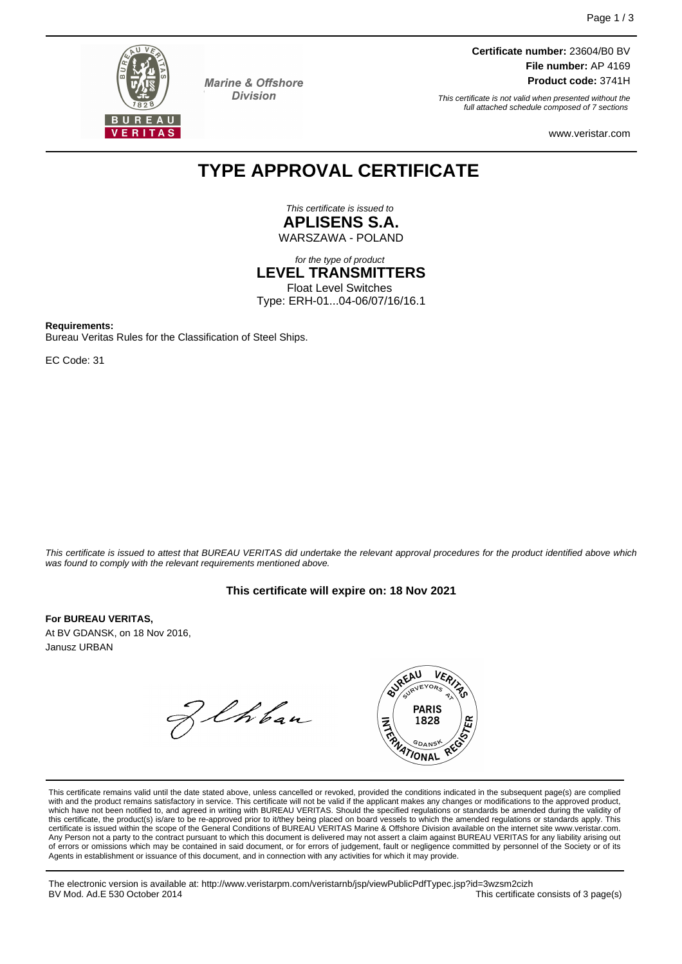

**Marine & Offshore Division** 

**Certificate number:** 23604/B0 BV **File number:** AP 4169 **Product code:** 3741H

This certificate is not valid when presented without the full attached schedule composed of 7 sections

www.veristar.com

# **TYPE APPROVAL CERTIFICATE**

This certificate is issued to **APLISENS S.A.** WARSZAWA - POLAND

for the type of product **LEVEL TRANSMITTERS**

Float Level Switches Type: ERH-01...04-06/07/16/16.1

**Requirements:**

Bureau Veritas Rules for the Classification of Steel Ships.

EC Code: 31

This certificate is issued to attest that BUREAU VERITAS did undertake the relevant approval procedures for the product identified above which was found to comply with the relevant requirements mentioned above.

### **This certificate will expire on: 18 Nov 2021**

**For BUREAU VERITAS,**

At BV GDANSK, on 18 Nov 2016, Janusz URBAN

Z Chban



This certificate remains valid until the date stated above, unless cancelled or revoked, provided the conditions indicated in the subsequent page(s) are complied with and the product remains satisfactory in service. This certificate will not be valid if the applicant makes any changes or modifications to the approved product, which have not been notified to, and agreed in writing with BUREAU VERITAS. Should the specified regulations or standards be amended during the validity of<br>this certificate, the product(s) is/are to be re-approved prior to certificate is issued within the scope of the General Conditions of BUREAU VERITAS Marine & Offshore Division available on the internet site www.veristar.com. Any Person not a party to the contract pursuant to which this document is delivered may not assert a claim against BUREAU VERITAS for any liability arising out of errors or omissions which may be contained in said document, or for errors of judgement, fault or negligence committed by personnel of the Society or of its<br>Agents in establishment or issuance of this document, and in c

The electronic version is available at: http://www.veristarpm.com/veristarnb/jsp/viewPublicPdfTypec.jsp?id=3wzsm2cizh BV Mod. Ad.E 530 October 2014 **This certificate consists of 3 page(s)** BV Mod. Ad.E 530 October 2014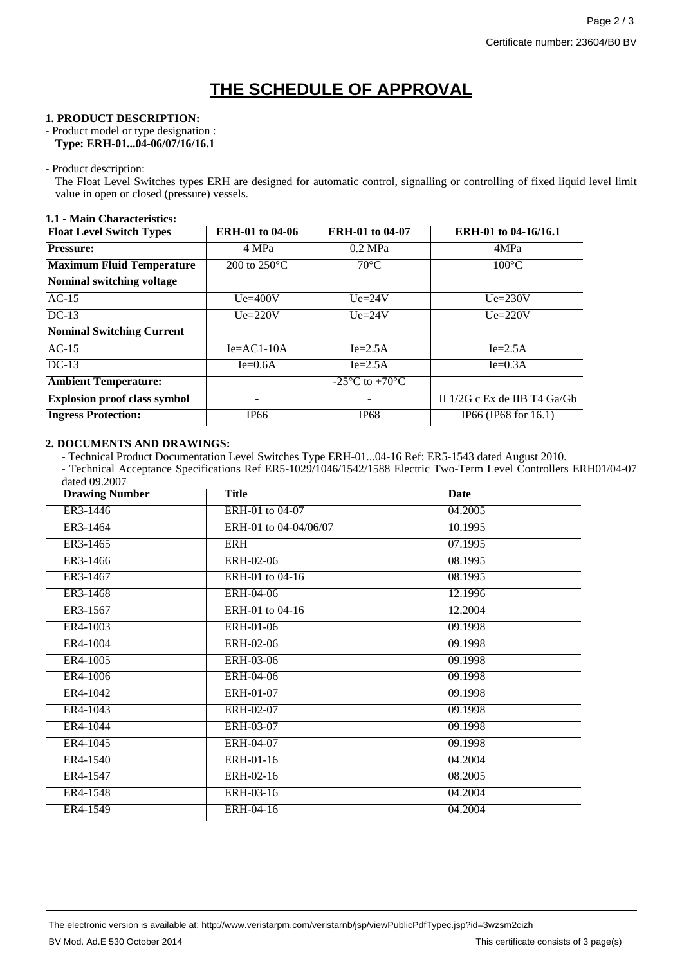# **THE SCHEDULE OF APPROVAL**

#### **1. PRODUCT DESCRIPTION:**

- Product model or type designation : **Type: ERH-01...04-06/07/16/16.1**

- Product description:

The Float Level Switches types ERH are designed for automatic control, signalling or controlling of fixed liquid level limit value in open or closed (pressure) vessels.

### **1.1 - Main Characteristics:**

| <b>Float Level Switch Types</b>     | <b>ERH-01 to 04-06</b> | <b>ERH-01 to 04-07</b>                               | <b>ERH-01 to 04-16/16.1</b>      |
|-------------------------------------|------------------------|------------------------------------------------------|----------------------------------|
| <b>Pressure:</b>                    | 4 MPa                  | $0.2$ MPa                                            | 4MPa                             |
| <b>Maximum Fluid Temperature</b>    | 200 to $250^{\circ}$ C | $70^{\circ}$ C                                       | $100^{\circ}$ C                  |
| Nominal switching voltage           |                        |                                                      |                                  |
| $AC-15$                             | $Ue=400V$              | $Ue=24V$                                             | $Ue=230V$                        |
| $DC-13$                             | $Ue = 220V$            | $Ue=24V$                                             | $Ue=220V$                        |
| <b>Nominal Switching Current</b>    |                        |                                                      |                                  |
| $AC-15$                             | $Ie = AC1-10A$         | $Ie=2.5A$                                            | $Ie=2.5A$                        |
| $DC-13$                             | $\overline{I}e=0.6A$   | $Ie=2.5A$                                            | $Ie=0.3A$                        |
| <b>Ambient Temperature:</b>         |                        | -25 $\mathrm{^{\circ}C}$ to +70 $\mathrm{^{\circ}C}$ |                                  |
| <b>Explosion proof class symbol</b> | -                      |                                                      | II $1/2G$ c Ex de IIB T4 $Ga/Gb$ |
| <b>Ingress Protection:</b>          | IP <sub>66</sub>       | <b>IP68</b>                                          | IP66 (IP68 for 16.1)             |

### **2. DOCUMENTS AND DRAWINGS:**

- Technical Product Documentation Level Switches Type ERH-01...04-16 Ref: ER5-1543 dated August 2010.

- Technical Acceptance Specifications Ref ER5-1029/1046/1542/1588 Electric Two-Term Level Controllers ERH01/04-07 dated 09.2007

| <b>Drawing Number</b> | <b>Title</b>          | Date    |
|-----------------------|-----------------------|---------|
| ER3-1446              | ERH-01 to 04-07       | 04.2005 |
| ER3-1464              | ERH-01 to 04-04/06/07 | 10.1995 |
| ER3-1465              | ERH                   | 07.1995 |
| ER3-1466              | ERH-02-06             | 08.1995 |
| ER3-1467              | ERH-01 to 04-16       | 08.1995 |
| ER3-1468              | ERH-04-06             | 12.1996 |
| ER3-1567              | ERH-01 to 04-16       | 12.2004 |
| ER4-1003              | ERH-01-06             | 09.1998 |
| ER4-1004              | ERH-02-06             | 09.1998 |
| ER4-1005              | ERH-03-06             | 09.1998 |
| ER4-1006              | ERH-04-06             | 09.1998 |
| ER4-1042              | ERH-01-07             | 09.1998 |
| ER4-1043              | ERH-02-07             | 09.1998 |
| ER4-1044              | ERH-03-07             | 09.1998 |
| ER4-1045              | ERH-04-07             | 09.1998 |
| ER4-1540              | ERH-01-16             | 04.2004 |
| ER4-1547              | ERH-02-16             | 08.2005 |
| ER4-1548              | ERH-03-16             | 04.2004 |
| ER4-1549              | ERH-04-16             | 04.2004 |